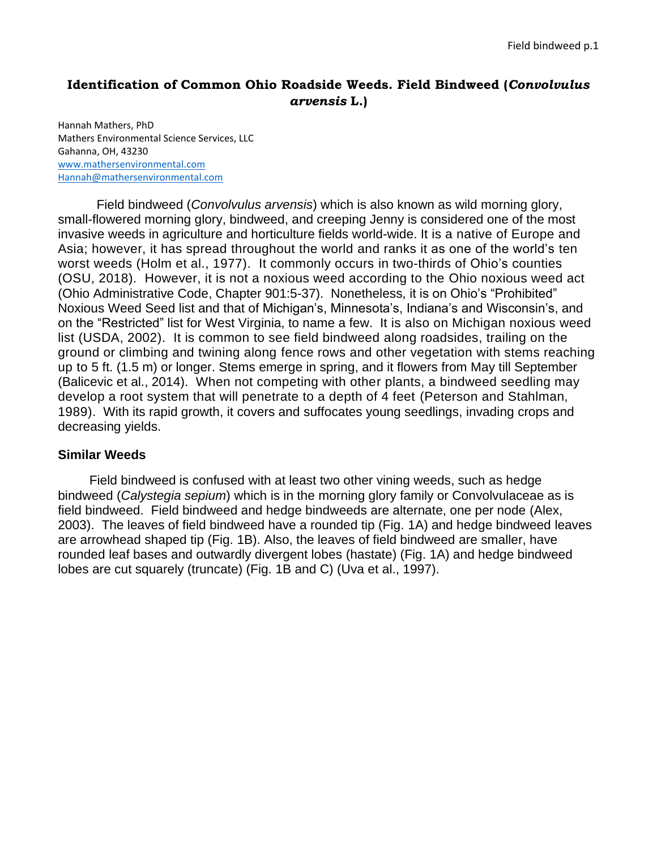## **Identification of Common Ohio Roadside Weeds. Field Bindweed (***Convolvulus arvensis* **L.)**

Hannah Mathers, PhD Mathers Environmental Science Services, LLC Gahanna, OH, 43230 [www.mathersenvironmental.com](http://www.mathersenvironmental.com/) [Hannah@mathersenvironmental.com](mailto:Hannah@mathersenvironmental.com)

Field bindweed (*Convolvulus arvensis*) which is also known as wild morning glory, small-flowered morning glory, bindweed, and creeping Jenny is considered one of the most invasive weeds in agriculture and horticulture fields world-wide. It is a native of Europe and Asia; however, it has spread throughout the world and ranks it as one of the world's ten worst weeds (Holm et al., 1977). It commonly occurs in two-thirds of Ohio's counties (OSU, 2018). However, it is not a noxious weed according to the Ohio noxious weed act [\(Ohio Administrative Code,](http://codes.ohio.gov/oac) Chapter [901:5-37\)](http://codes.ohio.gov/oac/901:5). Nonetheless, it is on Ohio's "Prohibited" Noxious Weed Seed list and that of Michigan's, Minnesota's, Indiana's and Wisconsin's, and on the "Restricted" list for West Virginia, to name a few. It is also on Michigan noxious weed list (USDA, 2002). It is common to see field bindweed along roadsides, trailing on the ground or climbing and twining along fence rows and other vegetation with stems reaching up to 5 ft. (1.5 m) or longer. Stems emerge in spring, and it flowers from May till September (Balicevic et al., 2014). When not competing with other plants, a bindweed seedling may develop a root system that will penetrate to a depth of 4 feet (Peterson and Stahlman, 1989). With its rapid growth, it covers and suffocates young seedlings, invading crops and decreasing yields.

## **Similar Weeds**

Field bindweed is confused with at least two other vining weeds, such as hedge bindweed (*[Calystegia sepium](http://www.illinoiswildflowers.info/savanna/plants/hdg_bindweed.htm)*) which is in the morning glory family or Convolvulaceae as is field bindweed. Field bindweed and hedge bindweeds are alternate, one per node (Alex, 2003). The leaves of field bindweed have a rounded tip (Fig. 1A) and hedge bindweed leaves are arrowhead shaped tip (Fig. 1B). Also, the leaves of field bindweed are smaller, have rounded leaf bases and outwardly divergent lobes (hastate) (Fig. 1A) and hedge bindweed lobes are cut squarely (truncate) (Fig. 1B and C) (Uva et al., 1997).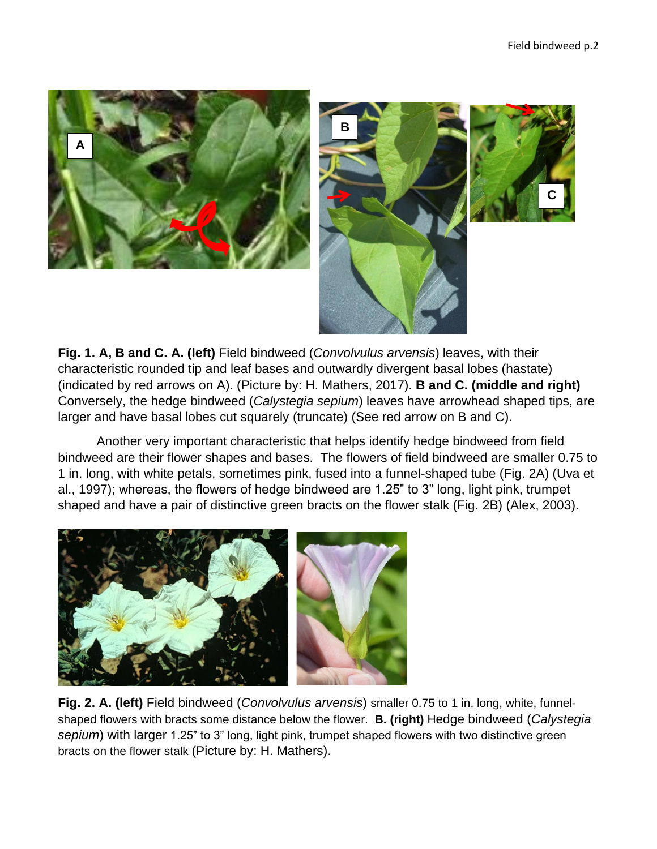**C**







Another very important characteristic that helps identify hedge bindweed from field bindweed are their flower shapes and bases. The flowers of field bindweed are smaller 0.75 to 1 in. long, with white petals, sometimes pink, fused into a funnel-shaped tube (Fig. 2A) (Uva et al., 1997); whereas, the flowers of hedge bindweed are 1.25" to 3" long, light pink, trumpet shaped and have a pair of distinctive green bracts on the flower stalk (Fig. 2B) (Alex, 2003).



**Fig. 2. A. (left)** Field bindweed (*Convolvulus arvensis*) smaller 0.75 to 1 in. long, white, funnelshaped flowers with bracts some distance below the flower. **B. (right)** Hedge bindweed (*[Calystegia](http://www.illinoiswildflowers.info/savanna/plants/hdg_bindweed.htm)  [sepium](http://www.illinoiswildflowers.info/savanna/plants/hdg_bindweed.htm)*) with larger 1.25" to 3" long, light pink, trumpet shaped flowers with two distinctive green bracts on the flower stalk (Picture by: H. Mathers).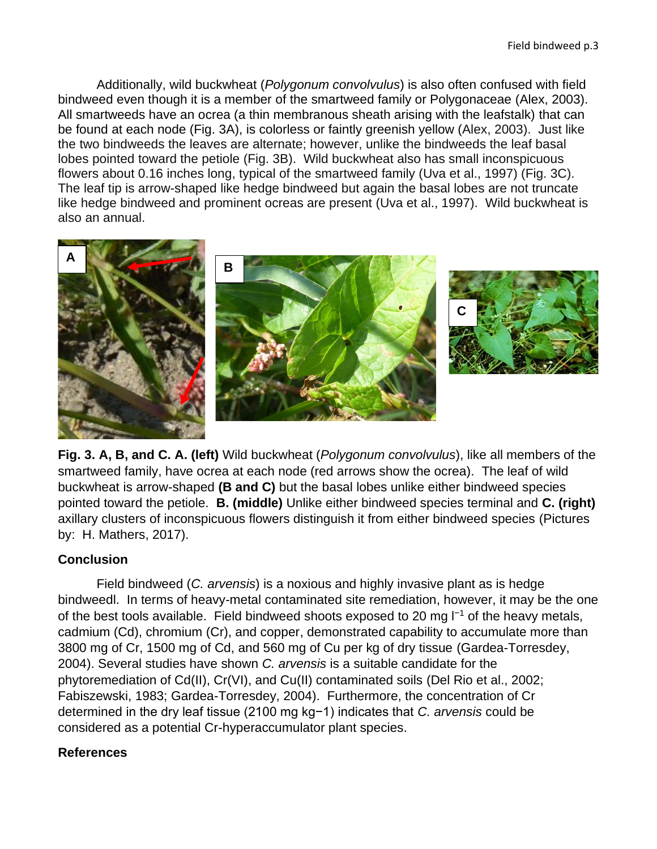Additionally, wild buckwheat (*Polygonum convolvulus*) is also often confused with field bindweed even though it is a member of the smartweed family or Polygonaceae (Alex, 2003). All smartweeds have an ocrea (a thin membranous sheath arising with the leafstalk) that can be found at each node (Fig. 3A), is colorless or faintly greenish yellow (Alex, 2003). Just like the two bindweeds the leaves are alternate; however, unlike the bindweeds the leaf basal lobes pointed toward the petiole (Fig. 3B). Wild buckwheat also has small inconspicuous flowers about 0.16 inches long, typical of the smartweed family (Uva et al., 1997) (Fig. 3C). The leaf tip is arrow-shaped like hedge bindweed but again the basal lobes are not truncate like hedge bindweed and prominent ocreas are present (Uva et al., 1997). Wild buckwheat is also an annual.



**Fig. 3. A, B, and C. A. (left)** Wild buckwheat (*Polygonum convolvulus*), like all members of the smartweed family, have ocrea at each node (red arrows show the ocrea). The leaf of wild buckwheat is arrow-shaped **(B and C)** but the basal lobes unlike either bindweed species pointed toward the petiole. **B. (middle)** Unlike either bindweed species terminal and **C. (right)** axillary clusters of inconspicuous flowers distinguish it from either bindweed species (Pictures by: H. Mathers, 2017).

## **Conclusion**

Field bindweed (*C. arvensis*) is a noxious and highly invasive plant as is hedge bindweedl. In terms of heavy-metal contaminated site remediation, however, it may be the one of the best tools available. Field bindweed shoots exposed to 20 mg l−1 of the heavy metals, cadmium (Cd), chromium (Cr), and copper, demonstrated capability to accumulate more than 3800 mg of Cr, 1500 mg of Cd, and 560 mg of Cu per kg of dry tissue (Gardea-Torresdey, 2004). Several studies have shown *C. arvensis* is a suitable candidate for the phytoremediation of Cd(II), Cr(VI), and Cu(II) contaminated soils (Del Rio et al., 2002; Fabiszewski, 1983; Gardea-Torresdey, 2004). Furthermore, the concentration of Cr determined in the dry leaf tissue (2100 mg kg−1) indicates that *C. arvensis* could be considered as a potential Cr-hyperaccumulator plant species.

## **References**